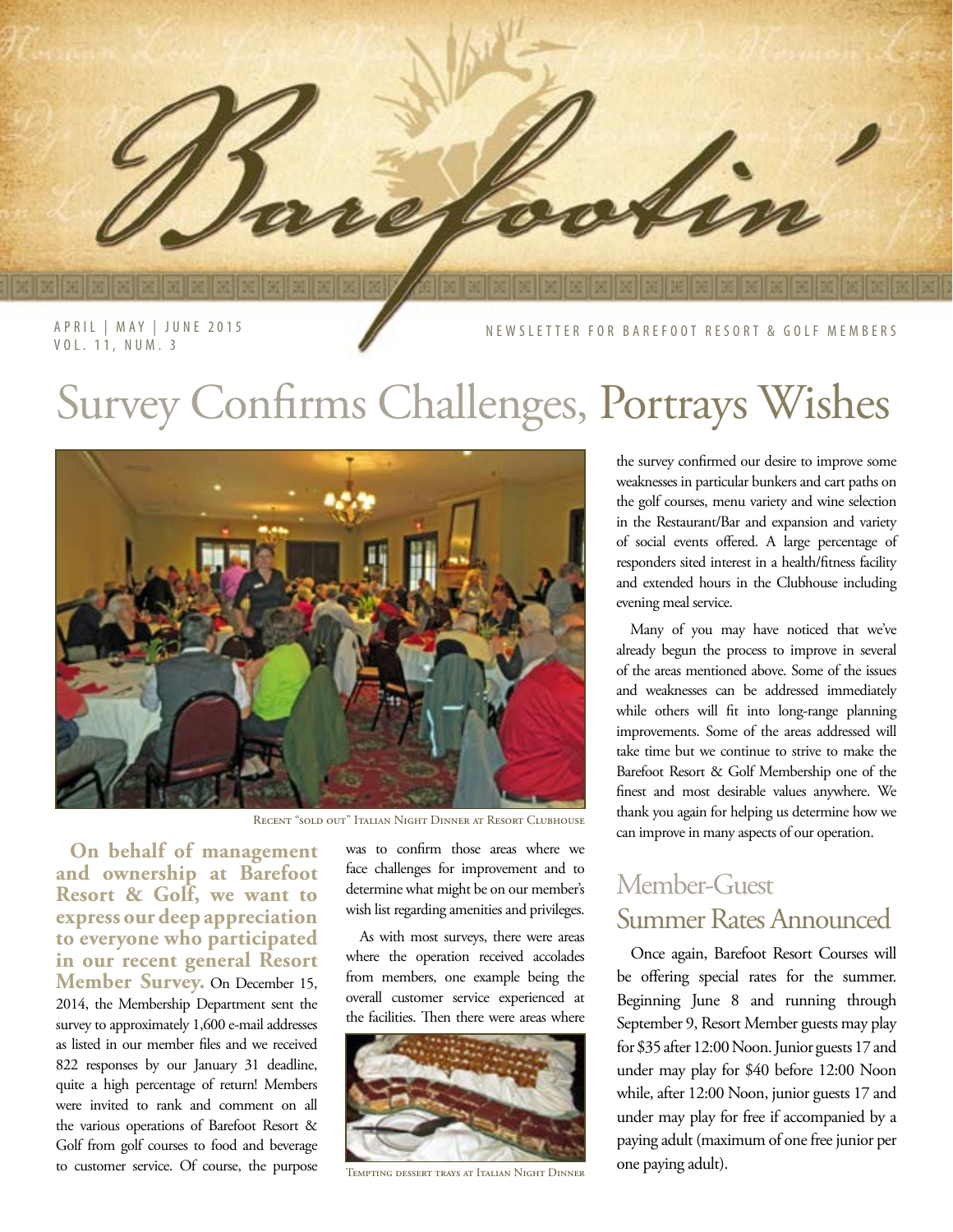

APRIL | MAY | JUNE 2015 VOL. 11, NUM. 3

NEWSLETTER FOR BAREFOOT RESORT & GOLF MEMBERS

## Survey Confirms Challenges, Portrays Wishes



Recent "sold out" Italian Night Dinner at Resort Clubhouse

**On behalf of management and ownership at Barefoot Resort & Golf, we want to express our deep appreciation to everyone who participated in our recent general Resort Member Survey.** On December 15, 2014, the Membership Department sent the survey to approximately 1,600 e-mail addresses as listed in our member files and we received 822 responses by our January 31 deadline, quite a high percentage of return! Members were invited to rank and comment on all the various operations of Barefoot Resort & Golf from golf courses to food and beverage to customer service. Of course, the purpose

was to confirm those areas where we face challenges for improvement and to determine what might be on our member's wish list regarding amenities and privileges.

As with most surveys, there were areas where the operation received accolades from members, one example being the overall customer service experienced at the facilities. Then there were areas where



Tempting dessert trays at Italian Night Dinner

the survey confirmed our desire to improve some weaknesses in particular bunkers and cart paths on the golf courses, menu variety and wine selection in the Restaurant/Bar and expansion and variety of social events offered. A large percentage of responders sited interest in a health/fitness facility and extended hours in the Clubhouse including evening meal service.

Many of you may have noticed that we've already begun the process to improve in several of the areas mentioned above. Some of the issues and weaknesses can be addressed immediately while others will fit into long-range planning improvements. Some of the areas addressed will take time but we continue to strive to make the Barefoot Resort & Golf Membership one of the finest and most desirable values anywhere. We thank you again for helping us determine how we can improve in many aspects of our operation.

### Member-Guest Summer Rates Announced

Once again, Barefoot Resort Courses will be offering special rates for the summer. Beginning June 8 and running through September 9, Resort Member guests may play for \$35 after 12:00 Noon. Junior guests 17 and under may play for \$40 before 12:00 Noon while, after 12:00 Noon, junior guests 17 and under may play for free if accompanied by a paying adult (maximum of one free junior per one paying adult).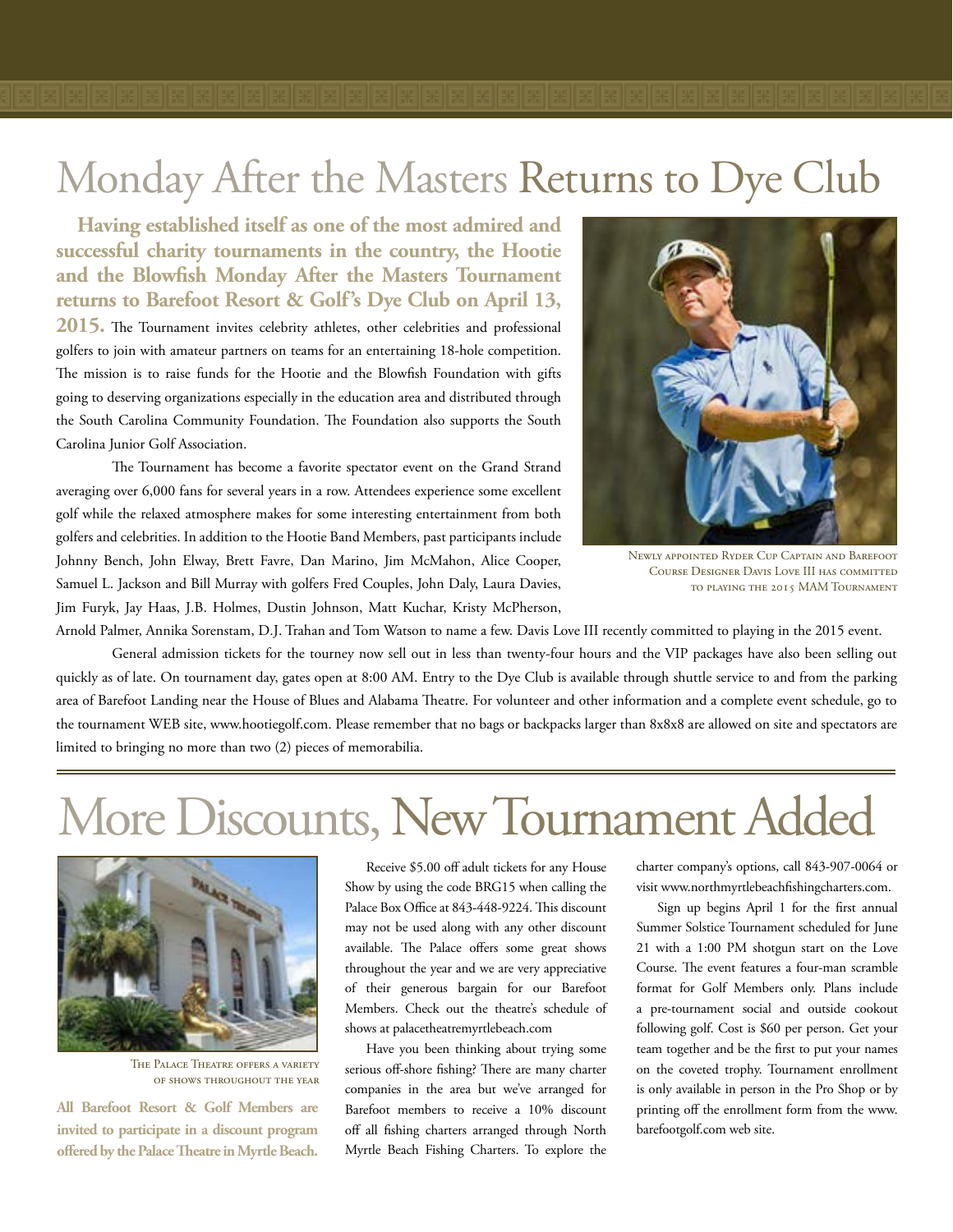## Monday After the Masters Returns to Dye Club

**Having established itself as one of the most admired and successful charity tournaments in the country, the Hootie and the Blowfish Monday After the Masters Tournament returns to Barefoot Resort & Golf's Dye Club on April 13, 2015.** The Tournament invites celebrity athletes, other celebrities and professional golfers to join with amateur partners on teams for an entertaining 18-hole competition. The mission is to raise funds for the Hootie and the Blowfish Foundation with gifts

going to deserving organizations especially in the education area and distributed through the South Carolina Community Foundation. The Foundation also supports the South Carolina Junior Golf Association.

The Tournament has become a favorite spectator event on the Grand Strand averaging over 6,000 fans for several years in a row. Attendees experience some excellent golf while the relaxed atmosphere makes for some interesting entertainment from both golfers and celebrities. In addition to the Hootie Band Members, past participants include Johnny Bench, John Elway, Brett Favre, Dan Marino, Jim McMahon, Alice Cooper, Samuel L. Jackson and Bill Murray with golfers Fred Couples, John Daly, Laura Davies, Jim Furyk, Jay Haas, J.B. Holmes, Dustin Johnson, Matt Kuchar, Kristy McPherson,



Newly appointed Ryder Cup Captain and Barefoot Course Designer Davis Love III has committed to playing the 2015 MAM Tournament

Arnold Palmer, Annika Sorenstam, D.J. Trahan and Tom Watson to name a few. Davis Love III recently committed to playing in the 2015 event.

General admission tickets for the tourney now sell out in less than twenty-four hours and the VIP packages have also been selling out quickly as of late. On tournament day, gates open at 8:00 AM. Entry to the Dye Club is available through shuttle service to and from the parking area of Barefoot Landing near the House of Blues and Alabama Theatre. For volunteer and other information and a complete event schedule, go to the tournament WEB site, www.hootiegolf.com. Please remember that no bags or backpacks larger than 8x8x8 are allowed on site and spectators are limited to bringing no more than two (2) pieces of memorabilia.

# More Discounts, New Tournament Added



The Palace Theatre offers a variety of shows throughout the year

**All Barefoot Resort & Golf Members are invited to participate in a discount program offered by the Palace Theatre in Myrtle Beach.**

Receive \$5.00 off adult tickets for any House Show by using the code BRG15 when calling the Palace Box Office at 843-448-9224. This discount may not be used along with any other discount available. The Palace offers some great shows throughout the year and we are very appreciative of their generous bargain for our Barefoot Members. Check out the theatre's schedule of shows at palacetheatremyrtlebeach.com

Have you been thinking about trying some serious off-shore fishing? There are many charter companies in the area but we've arranged for Barefoot members to receive a 10% discount off all fishing charters arranged through North Myrtle Beach Fishing Charters. To explore the charter company's options, call 843-907-0064 or visit www.northmyrtlebeachfishingcharters.com.

Sign up begins April 1 for the first annual Summer Solstice Tournament scheduled for June 21 with a 1:00 PM shotgun start on the Love Course. The event features a four-man scramble format for Golf Members only. Plans include a pre-tournament social and outside cookout following golf. Cost is \$60 per person. Get your team together and be the first to put your names on the coveted trophy. Tournament enrollment is only available in person in the Pro Shop or by printing off the enrollment form from the www. barefootgolf.com web site.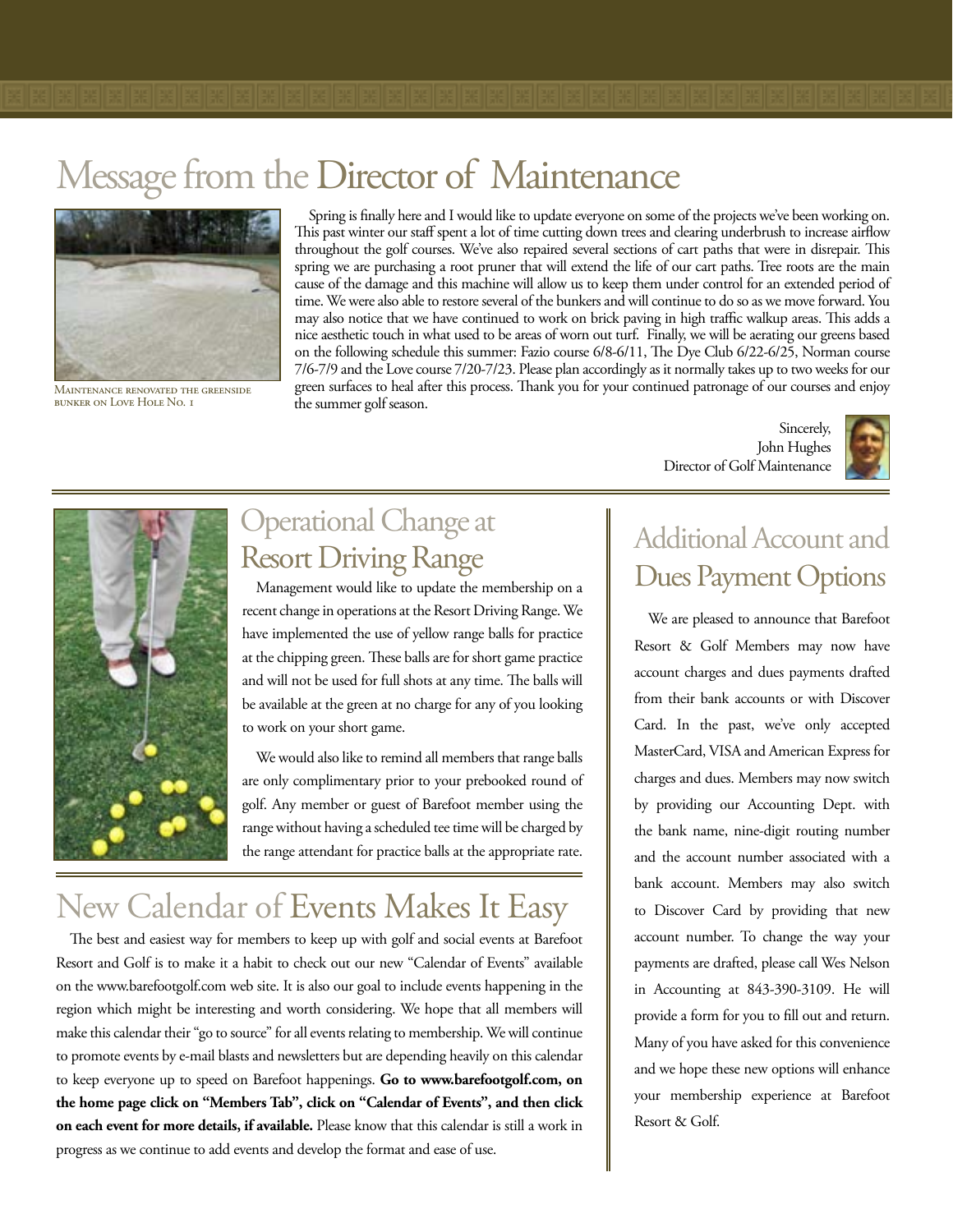## Message from the Director of Maintenance



Maintenance renovated the greenside bunker on Love Hole No. 1

Spring is finally here and I would like to update everyone on some of the projects we've been working on. This past winter our staff spent a lot of time cutting down trees and clearing underbrush to increase airflow throughout the golf courses. We've also repaired several sections of cart paths that were in disrepair. This spring we are purchasing a root pruner that will extend the life of our cart paths. Tree roots are the main cause of the damage and this machine will allow us to keep them under control for an extended period of time. We were also able to restore several of the bunkers and will continue to do so as we move forward. You may also notice that we have continued to work on brick paving in high traffic walkup areas. This adds a nice aesthetic touch in what used to be areas of worn out turf. Finally, we will be aerating our greens based on the following schedule this summer: Fazio course 6/8-6/11, The Dye Club 6/22-6/25, Norman course 7/6-7/9 and the Love course 7/20-7/23. Please plan accordingly as it normally takes up to two weeks for our green surfaces to heal after this process. Thank you for your continued patronage of our courses and enjoy the summer golf season.

> Sincerely, John Hughes Director of Golf Maintenance





### Operational Change at Resort Driving Range

Management would like to update the membership on a recent change in operations at the Resort Driving Range. We have implemented the use of yellow range balls for practice at the chipping green. These balls are for short game practice and will not be used for full shots at any time. The balls will be available at the green at no charge for any of you looking to work on your short game.

We would also like to remind all members that range balls are only complimentary prior to your prebooked round of golf. Any member or guest of Barefoot member using the range without having a scheduled tee time will be charged by the range attendant for practice balls at the appropriate rate.

### New Calendar of Events Makes It Easy

The best and easiest way for members to keep up with golf and social events at Barefoot Resort and Golf is to make it a habit to check out our new "Calendar of Events" available on the www.barefootgolf.com web site. It is also our goal to include events happening in the region which might be interesting and worth considering. We hope that all members will make this calendar their "go to source" for all events relating to membership. We will continue to promote events by e-mail blasts and newsletters but are depending heavily on this calendar to keep everyone up to speed on Barefoot happenings. **Go to www.barefootgolf.com, on the home page click on "Members Tab", click on "Calendar of Events", and then click on each event for more details, if available.** Please know that this calendar is still a work in progress as we continue to add events and develop the format and ease of use.

### Additional Account and Dues Payment Options

We are pleased to announce that Barefoot Resort & Golf Members may now have account charges and dues payments drafted from their bank accounts or with Discover Card. In the past, we've only accepted MasterCard, VISA and American Express for charges and dues. Members may now switch by providing our Accounting Dept. with the bank name, nine-digit routing number and the account number associated with a bank account. Members may also switch to Discover Card by providing that new account number. To change the way your payments are drafted, please call Wes Nelson in Accounting at 843-390-3109. He will provide a form for you to fill out and return. Many of you have asked for this convenience and we hope these new options will enhance your membership experience at Barefoot Resort & Golf.